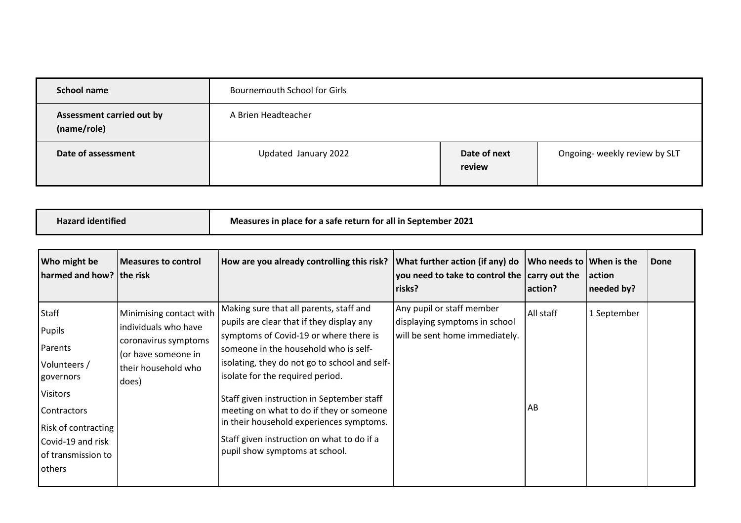| School name                              | <b>Bournemouth School for Girls</b> |                        |                               |
|------------------------------------------|-------------------------------------|------------------------|-------------------------------|
| Assessment carried out by<br>(name/role) | A Brien Headteacher                 |                        |                               |
| Date of assessment                       | Updated January 2022                | Date of next<br>review | Ongoing- weekly review by SLT |

| <b>Hazard identified</b> | Measures in place for a safe return for all in September 2021 |
|--------------------------|---------------------------------------------------------------|
|                          |                                                               |

| Who might be<br>harmed and how? the risk                                                                                                                                                   | <b>Measures to control</b>                                                                                                     | How are you already controlling this risk?                                                                                                                                                                                                                                                                                                                                                                                                                                         | What further action (if any) do<br>you need to take to control the $ $ carry out the<br>risks? | Who needs to<br>action? | <b>When is the</b><br>action<br>needed by? | Done |
|--------------------------------------------------------------------------------------------------------------------------------------------------------------------------------------------|--------------------------------------------------------------------------------------------------------------------------------|------------------------------------------------------------------------------------------------------------------------------------------------------------------------------------------------------------------------------------------------------------------------------------------------------------------------------------------------------------------------------------------------------------------------------------------------------------------------------------|------------------------------------------------------------------------------------------------|-------------------------|--------------------------------------------|------|
| <b>Staff</b><br>Pupils<br>Parents<br>Volunteers /<br>governors<br><b>Visitors</b><br><b>Contractors</b><br><b>Risk of contracting</b><br>Covid-19 and risk<br>of transmission to<br>others | Minimising contact with<br>individuals who have<br>coronavirus symptoms<br>(or have someone in<br>their household who<br>does) | Making sure that all parents, staff and<br>pupils are clear that if they display any<br>symptoms of Covid-19 or where there is<br>someone in the household who is self-<br>isolating, they do not go to school and self-<br>isolate for the required period.<br>Staff given instruction in September staff<br>meeting on what to do if they or someone<br>in their household experiences symptoms.<br>Staff given instruction on what to do if a<br>pupil show symptoms at school. | Any pupil or staff member<br>displaying symptoms in school<br>will be sent home immediately.   | All staff<br>AB         | 1 September                                |      |
|                                                                                                                                                                                            |                                                                                                                                |                                                                                                                                                                                                                                                                                                                                                                                                                                                                                    |                                                                                                |                         |                                            |      |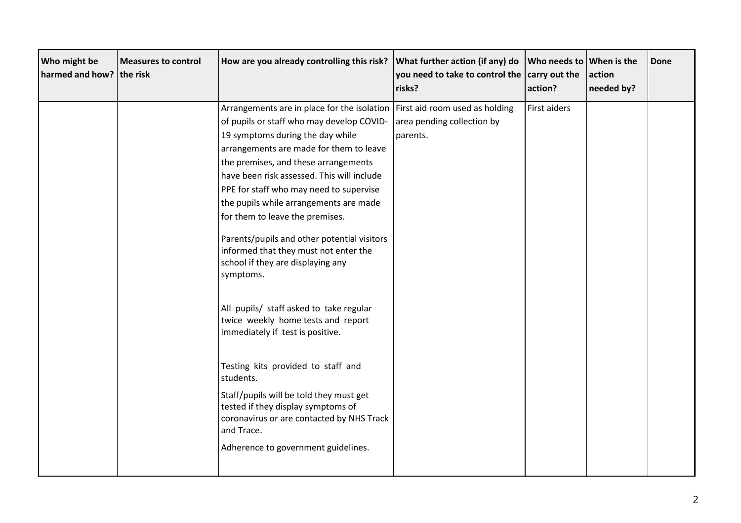| Who might be<br>harmed and how? the risk | <b>Measures to control</b> | How are you already controlling this risk?                                                                                               | What further action (if any) do<br>you need to take to control the<br>risks? | Who needs to When is the<br>carry out the<br>action? | action<br>needed by? | Done |
|------------------------------------------|----------------------------|------------------------------------------------------------------------------------------------------------------------------------------|------------------------------------------------------------------------------|------------------------------------------------------|----------------------|------|
|                                          |                            | Arrangements are in place for the isolation                                                                                              | First aid room used as holding                                               | First aiders                                         |                      |      |
|                                          |                            | of pupils or staff who may develop COVID-                                                                                                | area pending collection by                                                   |                                                      |                      |      |
|                                          |                            | 19 symptoms during the day while                                                                                                         | parents.                                                                     |                                                      |                      |      |
|                                          |                            | arrangements are made for them to leave                                                                                                  |                                                                              |                                                      |                      |      |
|                                          |                            | the premises, and these arrangements                                                                                                     |                                                                              |                                                      |                      |      |
|                                          |                            | have been risk assessed. This will include                                                                                               |                                                                              |                                                      |                      |      |
|                                          |                            | PPE for staff who may need to supervise                                                                                                  |                                                                              |                                                      |                      |      |
|                                          |                            | the pupils while arrangements are made                                                                                                   |                                                                              |                                                      |                      |      |
|                                          |                            | for them to leave the premises.                                                                                                          |                                                                              |                                                      |                      |      |
|                                          |                            | Parents/pupils and other potential visitors<br>informed that they must not enter the<br>school if they are displaying any<br>symptoms.   |                                                                              |                                                      |                      |      |
|                                          |                            | All pupils/ staff asked to take regular<br>twice weekly home tests and report<br>immediately if test is positive.                        |                                                                              |                                                      |                      |      |
|                                          |                            | Testing kits provided to staff and<br>students.                                                                                          |                                                                              |                                                      |                      |      |
|                                          |                            | Staff/pupils will be told they must get<br>tested if they display symptoms of<br>coronavirus or are contacted by NHS Track<br>and Trace. |                                                                              |                                                      |                      |      |
|                                          |                            | Adherence to government guidelines.                                                                                                      |                                                                              |                                                      |                      |      |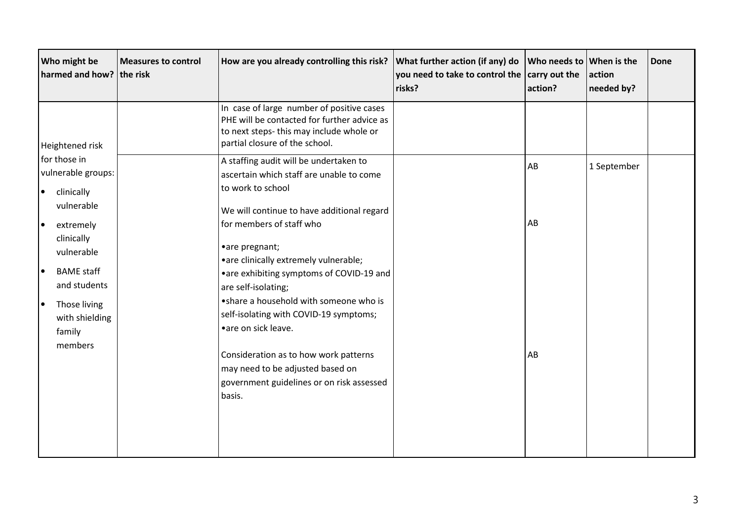| Who might be<br>harmed and how? the risk                                                                                                   | <b>Measures to control</b> | How are you already controlling this risk?                                                                                                                                                                                                                            | What further action (if any) do<br>you need to take to control the $ $ carry out the<br>risks? | Who needs to When is the<br>action? | action<br>needed by? | Done |
|--------------------------------------------------------------------------------------------------------------------------------------------|----------------------------|-----------------------------------------------------------------------------------------------------------------------------------------------------------------------------------------------------------------------------------------------------------------------|------------------------------------------------------------------------------------------------|-------------------------------------|----------------------|------|
| Heightened risk                                                                                                                            |                            | In case of large number of positive cases<br>PHE will be contacted for further advice as<br>to next steps-this may include whole or<br>partial closure of the school.                                                                                                 |                                                                                                |                                     |                      |      |
| for those in<br>vulnerable groups:<br>clinically<br>$\bullet$<br>vulnerable                                                                |                            | A staffing audit will be undertaken to<br>ascertain which staff are unable to come<br>to work to school<br>We will continue to have additional regard                                                                                                                 |                                                                                                | AB                                  | 1 September          |      |
| extremely<br>l e<br>clinically<br>vulnerable<br><b>BAME</b> staff<br>l e<br>and students<br>Those living<br>I۰<br>with shielding<br>family |                            | for members of staff who<br>•are pregnant;<br>• are clinically extremely vulnerable;<br>• are exhibiting symptoms of COVID-19 and<br>are self-isolating;<br>• share a household with someone who is<br>self-isolating with COVID-19 symptoms;<br>• are on sick leave. |                                                                                                | AB                                  |                      |      |
| members                                                                                                                                    |                            | Consideration as to how work patterns<br>may need to be adjusted based on<br>government guidelines or on risk assessed<br>basis.                                                                                                                                      |                                                                                                | AB                                  |                      |      |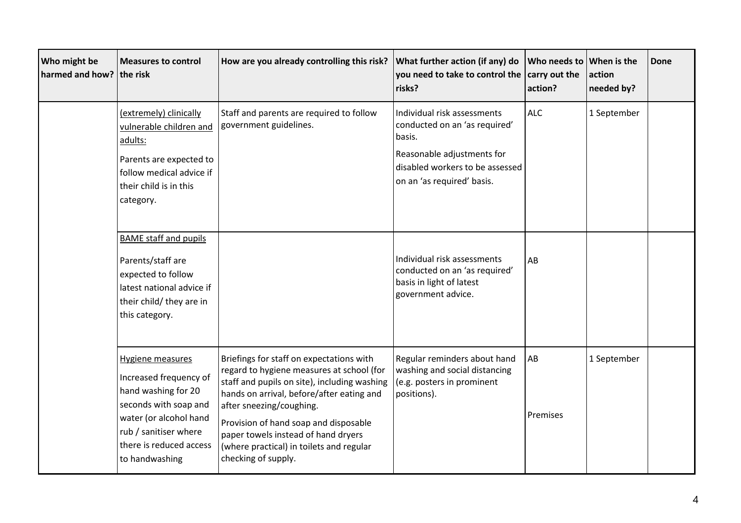| Who might be<br>harmed and how? the risk | <b>Measures to control</b>                                                                                                                                                                        | How are you already controlling this risk?                                                                                                                                                                                                                                                                                                                        | What further action (if any) do<br>you need to take to control the<br>risks?                                                                                          | Who needs to When is the<br>carry out the<br>action? | action<br>needed by? | Done |
|------------------------------------------|---------------------------------------------------------------------------------------------------------------------------------------------------------------------------------------------------|-------------------------------------------------------------------------------------------------------------------------------------------------------------------------------------------------------------------------------------------------------------------------------------------------------------------------------------------------------------------|-----------------------------------------------------------------------------------------------------------------------------------------------------------------------|------------------------------------------------------|----------------------|------|
|                                          | (extremely) clinically<br>vulnerable children and<br>adults:<br>Parents are expected to<br>follow medical advice if<br>their child is in this<br>category.                                        | Staff and parents are required to follow<br>government guidelines.                                                                                                                                                                                                                                                                                                | Individual risk assessments<br>conducted on an 'as required'<br>basis.<br>Reasonable adjustments for<br>disabled workers to be assessed<br>on an 'as required' basis. | <b>ALC</b>                                           | 1 September          |      |
|                                          | <b>BAME staff and pupils</b><br>Parents/staff are<br>expected to follow<br>latest national advice if<br>their child/ they are in<br>this category.                                                |                                                                                                                                                                                                                                                                                                                                                                   | Individual risk assessments<br>conducted on an 'as required'<br>basis in light of latest<br>government advice.                                                        | AB                                                   |                      |      |
|                                          | <b>Hygiene measures</b><br>Increased frequency of<br>hand washing for 20<br>seconds with soap and<br>water (or alcohol hand<br>rub / sanitiser where<br>there is reduced access<br>to handwashing | Briefings for staff on expectations with<br>regard to hygiene measures at school (for<br>staff and pupils on site), including washing<br>hands on arrival, before/after eating and<br>after sneezing/coughing.<br>Provision of hand soap and disposable<br>paper towels instead of hand dryers<br>(where practical) in toilets and regular<br>checking of supply. | Regular reminders about hand<br>washing and social distancing<br>(e.g. posters in prominent<br>positions).                                                            | AB<br>Premises                                       | 1 September          |      |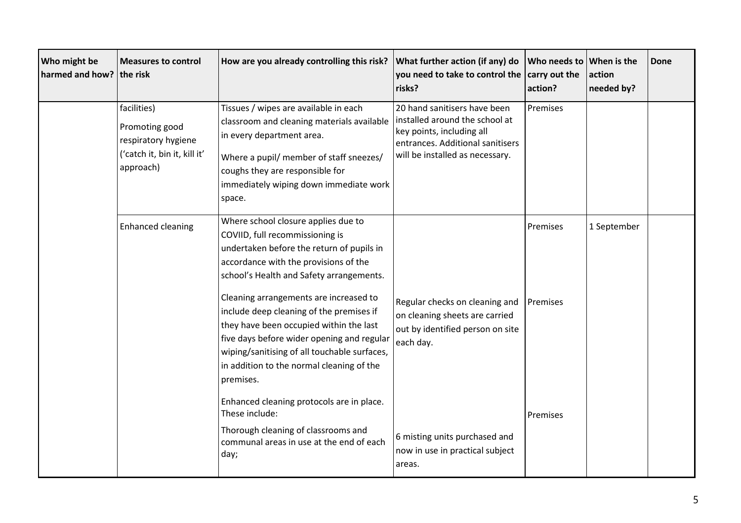| Who might be<br>harmed and how? the risk | <b>Measures to control</b>                                                                        | How are you already controlling this risk?                                                                                                                                                                                                                                                                                                                                                                                                                                           | What further action (if any) do<br>you need to take to control the<br>risks?                                                                                       | Who needs to<br>carry out the<br>action? | When is the<br>action<br>needed by? | Done |
|------------------------------------------|---------------------------------------------------------------------------------------------------|--------------------------------------------------------------------------------------------------------------------------------------------------------------------------------------------------------------------------------------------------------------------------------------------------------------------------------------------------------------------------------------------------------------------------------------------------------------------------------------|--------------------------------------------------------------------------------------------------------------------------------------------------------------------|------------------------------------------|-------------------------------------|------|
|                                          | facilities)<br>Promoting good<br>respiratory hygiene<br>('catch it, bin it, kill it'<br>approach) | Tissues / wipes are available in each<br>classroom and cleaning materials available<br>in every department area.<br>Where a pupil/ member of staff sneezes/<br>coughs they are responsible for<br>immediately wiping down immediate work<br>space.                                                                                                                                                                                                                                   | 20 hand sanitisers have been<br>installed around the school at<br>key points, including all<br>entrances. Additional sanitisers<br>will be installed as necessary. | Premises                                 |                                     |      |
|                                          | <b>Enhanced cleaning</b>                                                                          | Where school closure applies due to<br>COVIID, full recommissioning is<br>undertaken before the return of pupils in<br>accordance with the provisions of the<br>school's Health and Safety arrangements.<br>Cleaning arrangements are increased to<br>include deep cleaning of the premises if<br>they have been occupied within the last<br>five days before wider opening and regular<br>wiping/sanitising of all touchable surfaces,<br>in addition to the normal cleaning of the | Regular checks on cleaning and<br>on cleaning sheets are carried<br>out by identified person on site<br>each day.                                                  | Premises<br>Premises                     | 1 September                         |      |
|                                          |                                                                                                   | premises.<br>Enhanced cleaning protocols are in place.<br>These include:<br>Thorough cleaning of classrooms and<br>communal areas in use at the end of each<br>day;                                                                                                                                                                                                                                                                                                                  | 6 misting units purchased and<br>now in use in practical subject<br>areas.                                                                                         | Premises                                 |                                     |      |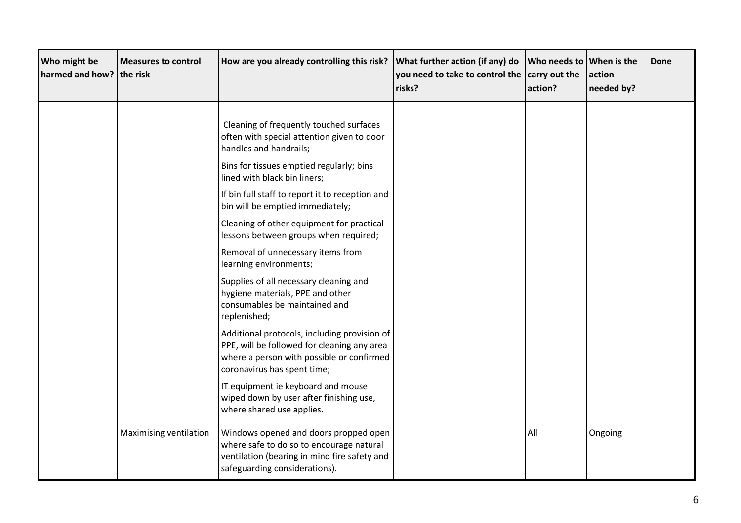| Who might be<br>harmed and how? the risk | <b>Measures to control</b> | How are you already controlling this risk?                                                                                                                                                                                                                                                                                      | What further action (if any) do<br>you need to take to control the $ $ carry out the<br>risks? | Who needs to When is the<br>action? | action<br>needed by? | Done |
|------------------------------------------|----------------------------|---------------------------------------------------------------------------------------------------------------------------------------------------------------------------------------------------------------------------------------------------------------------------------------------------------------------------------|------------------------------------------------------------------------------------------------|-------------------------------------|----------------------|------|
|                                          |                            | Cleaning of frequently touched surfaces<br>often with special attention given to door<br>handles and handrails;<br>Bins for tissues emptied regularly; bins<br>lined with black bin liners;<br>If bin full staff to report it to reception and<br>bin will be emptied immediately;<br>Cleaning of other equipment for practical |                                                                                                |                                     |                      |      |
|                                          |                            | lessons between groups when required;<br>Removal of unnecessary items from<br>learning environments;<br>Supplies of all necessary cleaning and<br>hygiene materials, PPE and other<br>consumables be maintained and<br>replenished;                                                                                             |                                                                                                |                                     |                      |      |
|                                          |                            | Additional protocols, including provision of<br>PPE, will be followed for cleaning any area<br>where a person with possible or confirmed<br>coronavirus has spent time;<br>IT equipment ie keyboard and mouse<br>wiped down by user after finishing use,<br>where shared use applies.                                           |                                                                                                |                                     |                      |      |
|                                          | Maximising ventilation     | Windows opened and doors propped open<br>where safe to do so to encourage natural<br>ventilation (bearing in mind fire safety and<br>safeguarding considerations).                                                                                                                                                              |                                                                                                | All                                 | Ongoing              |      |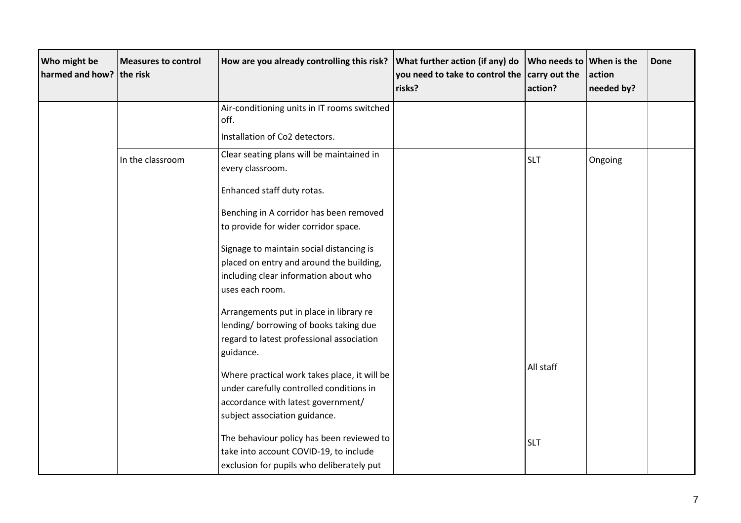| Who might be<br>harmed and how? the risk | <b>Measures to control</b> | How are you already controlling this risk?                                                                                                                      | What further action (if any) do<br>you need to take to control the<br>risks? | Who needs to<br>carry out the<br>action? | When is the<br>action<br>needed by? | <b>Done</b> |
|------------------------------------------|----------------------------|-----------------------------------------------------------------------------------------------------------------------------------------------------------------|------------------------------------------------------------------------------|------------------------------------------|-------------------------------------|-------------|
|                                          |                            | Air-conditioning units in IT rooms switched<br>off.<br>Installation of Co2 detectors.                                                                           |                                                                              |                                          |                                     |             |
|                                          | In the classroom           | Clear seating plans will be maintained in<br>every classroom.                                                                                                   |                                                                              | <b>SLT</b>                               | Ongoing                             |             |
|                                          |                            | Enhanced staff duty rotas.<br>Benching in A corridor has been removed<br>to provide for wider corridor space.                                                   |                                                                              |                                          |                                     |             |
|                                          |                            | Signage to maintain social distancing is<br>placed on entry and around the building,<br>including clear information about who<br>uses each room.                |                                                                              |                                          |                                     |             |
|                                          |                            | Arrangements put in place in library re<br>lending/ borrowing of books taking due<br>regard to latest professional association<br>guidance.                     |                                                                              |                                          |                                     |             |
|                                          |                            | Where practical work takes place, it will be<br>under carefully controlled conditions in<br>accordance with latest government/<br>subject association guidance. |                                                                              | All staff                                |                                     |             |
|                                          |                            | The behaviour policy has been reviewed to<br>take into account COVID-19, to include<br>exclusion for pupils who deliberately put                                |                                                                              | <b>SLT</b>                               |                                     |             |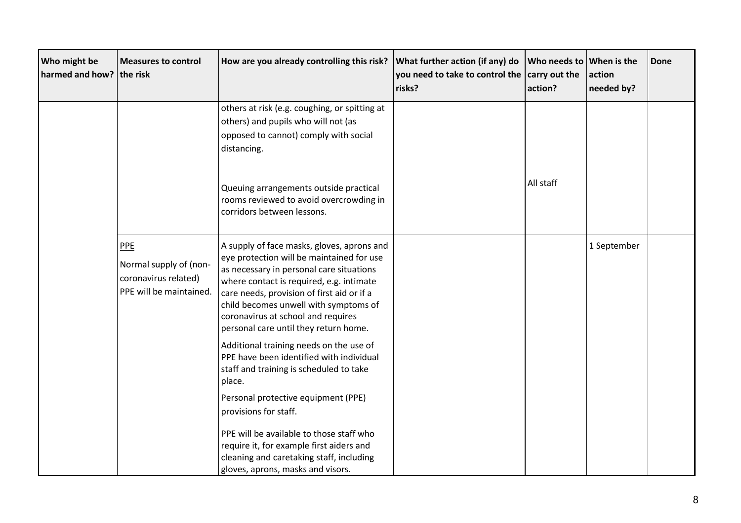| Who might be<br>harmed and how? the risk | <b>Measures to control</b>                                                       | How are you already controlling this risk?                                                                                                                                                                                                                                                                                                            | What further action (if any) do<br>you need to take to control the<br>risks? | Who needs to<br>carry out the<br>action? | <b>When</b> is the<br>action<br>needed by? | Done |
|------------------------------------------|----------------------------------------------------------------------------------|-------------------------------------------------------------------------------------------------------------------------------------------------------------------------------------------------------------------------------------------------------------------------------------------------------------------------------------------------------|------------------------------------------------------------------------------|------------------------------------------|--------------------------------------------|------|
|                                          |                                                                                  | others at risk (e.g. coughing, or spitting at<br>others) and pupils who will not (as<br>opposed to cannot) comply with social<br>distancing.                                                                                                                                                                                                          |                                                                              |                                          |                                            |      |
|                                          |                                                                                  | Queuing arrangements outside practical<br>rooms reviewed to avoid overcrowding in<br>corridors between lessons.                                                                                                                                                                                                                                       |                                                                              | All staff                                |                                            |      |
|                                          | PPE<br>Normal supply of (non-<br>coronavirus related)<br>PPE will be maintained. | A supply of face masks, gloves, aprons and<br>eye protection will be maintained for use<br>as necessary in personal care situations<br>where contact is required, e.g. intimate<br>care needs, provision of first aid or if a<br>child becomes unwell with symptoms of<br>coronavirus at school and requires<br>personal care until they return home. |                                                                              |                                          | 1 September                                |      |
|                                          |                                                                                  | Additional training needs on the use of<br>PPE have been identified with individual<br>staff and training is scheduled to take<br>place.                                                                                                                                                                                                              |                                                                              |                                          |                                            |      |
|                                          |                                                                                  | Personal protective equipment (PPE)<br>provisions for staff.                                                                                                                                                                                                                                                                                          |                                                                              |                                          |                                            |      |
|                                          |                                                                                  | PPE will be available to those staff who<br>require it, for example first aiders and<br>cleaning and caretaking staff, including<br>gloves, aprons, masks and visors.                                                                                                                                                                                 |                                                                              |                                          |                                            |      |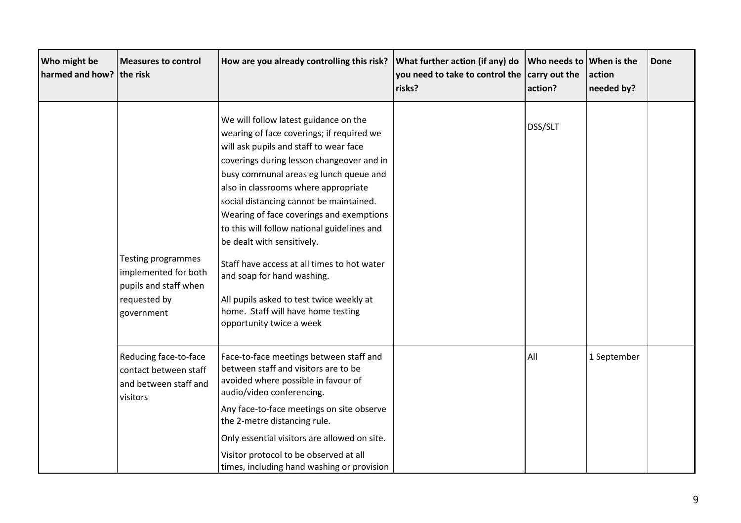| Who might be<br>harmed and how? the risk | <b>Measures to control</b>                                                                        | How are you already controlling this risk?                                                                                                                                                                                                                                                                                                                                                                                                                                                                                                                                                                                 | What further action (if any) do<br>you need to take to control the<br>risks? | Who needs to<br>carry out the<br>action? | <b>When</b> is the<br>action<br>needed by? | Done |
|------------------------------------------|---------------------------------------------------------------------------------------------------|----------------------------------------------------------------------------------------------------------------------------------------------------------------------------------------------------------------------------------------------------------------------------------------------------------------------------------------------------------------------------------------------------------------------------------------------------------------------------------------------------------------------------------------------------------------------------------------------------------------------------|------------------------------------------------------------------------------|------------------------------------------|--------------------------------------------|------|
|                                          | Testing programmes<br>implemented for both<br>pupils and staff when<br>requested by<br>government | We will follow latest guidance on the<br>wearing of face coverings; if required we<br>will ask pupils and staff to wear face<br>coverings during lesson changeover and in<br>busy communal areas eg lunch queue and<br>also in classrooms where appropriate<br>social distancing cannot be maintained.<br>Wearing of face coverings and exemptions<br>to this will follow national guidelines and<br>be dealt with sensitively.<br>Staff have access at all times to hot water<br>and soap for hand washing.<br>All pupils asked to test twice weekly at<br>home. Staff will have home testing<br>opportunity twice a week |                                                                              | DSS/SLT                                  |                                            |      |
|                                          | Reducing face-to-face<br>contact between staff<br>and between staff and<br>visitors               | Face-to-face meetings between staff and<br>between staff and visitors are to be<br>avoided where possible in favour of<br>audio/video conferencing.<br>Any face-to-face meetings on site observe<br>the 2-metre distancing rule.<br>Only essential visitors are allowed on site.<br>Visitor protocol to be observed at all<br>times, including hand washing or provision                                                                                                                                                                                                                                                   |                                                                              | All                                      | 1 September                                |      |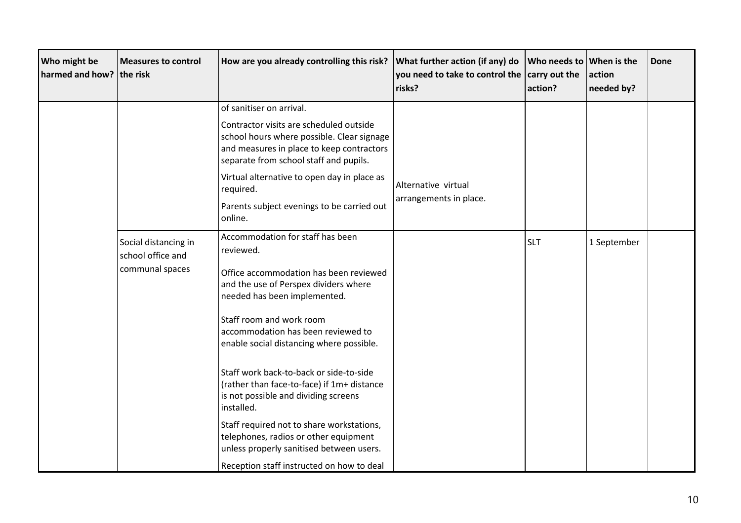| Who might be<br>harmed and how? the risk | <b>Measures to control</b>                | How are you already controlling this risk?                                                                                                                                   | What further action (if any) do<br>you need to take to control the<br>risks? | Who needs to<br>carry out the<br>action? | <b>When is the</b><br>action<br>needed by? | Done |
|------------------------------------------|-------------------------------------------|------------------------------------------------------------------------------------------------------------------------------------------------------------------------------|------------------------------------------------------------------------------|------------------------------------------|--------------------------------------------|------|
|                                          |                                           | of sanitiser on arrival.                                                                                                                                                     |                                                                              |                                          |                                            |      |
|                                          |                                           | Contractor visits are scheduled outside<br>school hours where possible. Clear signage<br>and measures in place to keep contractors<br>separate from school staff and pupils. |                                                                              |                                          |                                            |      |
|                                          | Social distancing in<br>school office and | Virtual alternative to open day in place as<br>required.                                                                                                                     | Alternative virtual                                                          |                                          |                                            |      |
|                                          |                                           | Parents subject evenings to be carried out<br>online.                                                                                                                        | arrangements in place.                                                       |                                          |                                            |      |
|                                          |                                           | Accommodation for staff has been<br>reviewed.                                                                                                                                |                                                                              | <b>SLT</b>                               | 1 September                                |      |
|                                          | communal spaces                           | Office accommodation has been reviewed<br>and the use of Perspex dividers where<br>needed has been implemented.                                                              |                                                                              |                                          |                                            |      |
|                                          |                                           | Staff room and work room<br>accommodation has been reviewed to<br>enable social distancing where possible.                                                                   |                                                                              |                                          |                                            |      |
|                                          |                                           | Staff work back-to-back or side-to-side<br>(rather than face-to-face) if 1m+ distance<br>is not possible and dividing screens<br>installed.                                  |                                                                              |                                          |                                            |      |
|                                          |                                           | Staff required not to share workstations,<br>telephones, radios or other equipment<br>unless properly sanitised between users.                                               |                                                                              |                                          |                                            |      |
|                                          |                                           | Reception staff instructed on how to deal                                                                                                                                    |                                                                              |                                          |                                            |      |